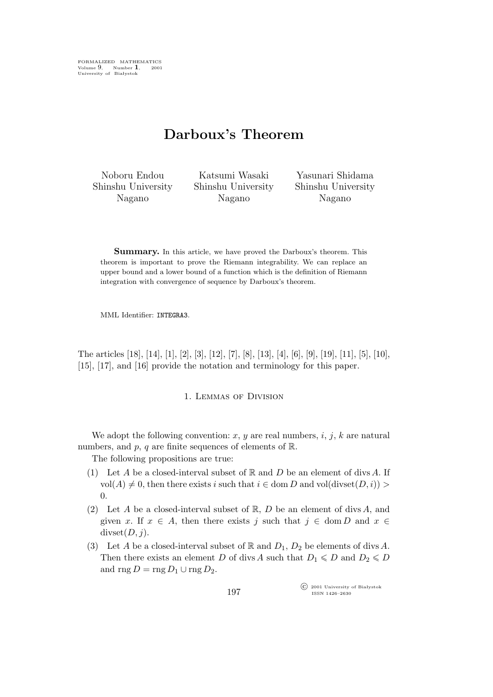FORMALIZED MATHEMATICS Volume 9, Number **1**, 2001 University of Białystok

# **Darboux's Theorem**

Noboru Endou Shinshu University Nagano

Katsumi Wasaki Shinshu University Nagano

Yasunari Shidama Shinshu University Nagano

Summary. In this article, we have proved the Darboux's theorem. This theorem is important to prove the Riemann integrability. We can replace an upper bound and a lower bound of a function which is the definition of Riemann integration with convergence of sequence by Darboux's theorem.

MML Identifier: INTEGRA3.

The articles [18], [14], [1], [2], [3], [12], [7], [8], [13], [4], [6], [9], [19], [11], [5], [10], [15], [17], and [16] provide the notation and terminology for this paper.

1. Lemmas of Division

We adopt the following convention:  $x, y$  are real numbers,  $i, j, k$  are natural numbers, and  $p$ ,  $q$  are finite sequences of elements of  $\mathbb{R}$ .

The following propositions are true:

- (1) Let A be a closed-interval subset of  $\mathbb R$  and  $D$  be an element of divs A. If vol(A)  $\neq$  0, then there exists i such that  $i \in$  dom D and vol(divset(D, i)) >  $\overline{0}$ .
- (2) Let A be a closed-interval subset of  $\mathbb{R}$ , D be an element of divs A, and given x. If  $x \in A$ , then there exists j such that  $j \in \text{dom } D$  and  $x \in$  $divset(D,j).$
- (3) Let A be a closed-interval subset of R and  $D_1$ ,  $D_2$  be elements of divs A. Then there exists an element D of divs A such that  $D_1 \leq D$  and  $D_2 \leq D$ and rng  $D = \text{rng } D_1 \cup \text{rng } D_2$ .

°c 2001 University of Białystok ISSN 1426–2630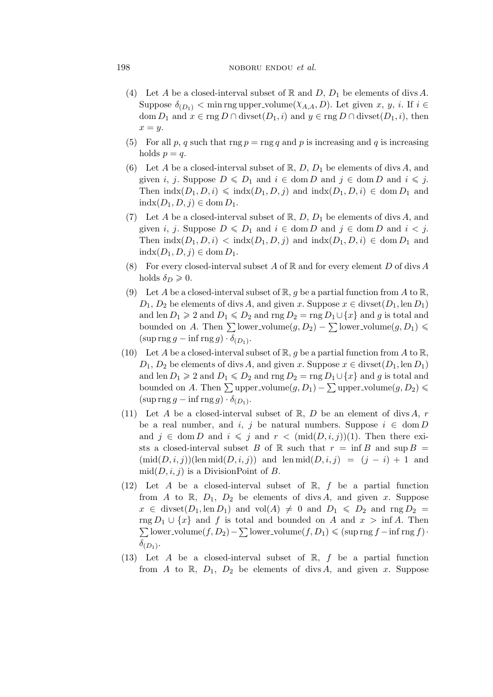## 198 **noboru endou** *et al.* **noboru** endou *et al.*

- (4) Let A be a closed-interval subset of R and D,  $D_1$  be elements of divs A. Suppose  $\delta_{(D_1)}$  < min rng upper\_volume $(\chi_{A,A}, D)$ . Let given x, y, i. If  $i \in$ dom  $D_1$  and  $x \in \text{rng } D \cap \text{divset}(D_1, i)$  and  $y \in \text{rng } D \cap \text{divset}(D_1, i)$ , then  $x = y$ .
- (5) For all p, q such that rng  $p = \text{rng } q$  and p is increasing and q is increasing holds  $p = q$ .
- (6) Let A be a closed-interval subset of  $\mathbb{R}, D, D_1$  be elements of divs A, and given *i*, *j*. Suppose  $D \le D_1$  and  $i \in \text{dom } D$  and  $j \in \text{dom } D$  and  $i \le j$ . Then  $\text{indx}(D_1, D, i) \leq \text{indx}(D_1, D, i)$  and  $\text{indx}(D_1, D, i) \in \text{dom} D_1$  and indx $(D_1, D, j)$  ∈ dom  $D_1$ .
- (7) Let A be a closed-interval subset of  $\mathbb{R}$ , D, D<sub>1</sub> be elements of divs A, and given *i*, *j*. Suppose  $D \le D_1$  and  $i \in \text{dom } D$  and  $j \in \text{dom } D$  and  $i < j$ . Then  $\text{indx}(D_1, D, i) < \text{indx}(D_1, D, i)$  and  $\text{indx}(D_1, D, i) \in \text{dom } D_1$  and indx $(D_1, D, j)$  ∈ dom  $D_1$ .
- (8) For every closed-interval subset A of  $\mathbb R$  and for every element D of divs A holds  $\delta_D \geqslant 0$ .
- (9) Let A be a closed-interval subset of  $\mathbb{R}, g$  be a partial function from A to  $\mathbb{R},$  $D_1, D_2$  be elements of divs A, and given x. Suppose  $x \in \text{divset}(D_1, \text{len } D_1)$ and len  $D_1 \ge 2$  and  $D_1 \le D_2$  and rng  $D_2 = \text{rng } D_1 \cup \{x\}$  and g is total and bounded on A. Then  $\sum$  lower\_volume $(g, D_2) - \sum$  lower\_volume $(g, D_1) \leq$  $(\sup \operatorname{rng} g - \inf \operatorname{rng} g) \cdot \delta_{(D_1)}$ .
- (10) Let A be a closed-interval subset of  $\mathbb{R}, q$  be a partial function from A to  $\mathbb{R},$  $D_1, D_2$  be elements of divs A, and given x. Suppose  $x \in \text{divset}(D_1, \text{len } D_1)$ and len  $D_1 \ge 2$  and  $D_1 \le D_2$  and rng  $D_2 = \text{rng } D_1 \cup \{x\}$  and g is total and bounded on A. Then  $\sum$  upper\_volume $(g, D_1) - \sum$  upper\_volume $(g, D_2) \leqslant$  $(\sup \operatorname{rng} g - \inf \operatorname{rng} g) \cdot \delta_{(D_1)}$ .
- (11) Let A be a closed-interval subset of  $\mathbb{R}$ , D be an element of divs A, r be a real number, and i, j be natural numbers. Suppose  $i \in \text{dom } D$ and  $j \in \text{dom } D$  and  $i \leq j$  and  $r < (\text{mid}(D, i, j))(1)$ . Then there exists a closed-interval subset B of R such that  $r = \inf B$  and  $\sup B =$  $(\text{mid}(D, i, j))$ (len mid $(D, i, j)$ ) and len mid $(D, i, j) = (j - i) + 1$  and  $mid(D, i, j)$  is a DivisionPoint of B.
- (12) Let A be a closed-interval subset of  $\mathbb{R}$ , f be a partial function from A to R,  $D_1$ ,  $D_2$  be elements of divs A, and given x. Suppose  $x \in$  divset $(D_1, \text{len } D_1)$  and  $\text{vol}(A) \neq 0$  and  $D_1 \leqslant D_2$  and  $\text{rng } D_2 =$  $\sum$  lower\_volume(f, D<sub>2</sub>) –  $\sum$  lower\_volume(f, D<sub>1</sub>)  $\leq$  (sup rng f – inf rng f)*·* rng  $D_1 \cup \{x\}$  and f is total and bounded on A and  $x > \inf A$ . Then  $\delta_{(D_1)}$ .
- (13) Let A be a closed-interval subset of  $\mathbb{R}$ , f be a partial function from A to R,  $D_1$ ,  $D_2$  be elements of divs A, and given x. Suppose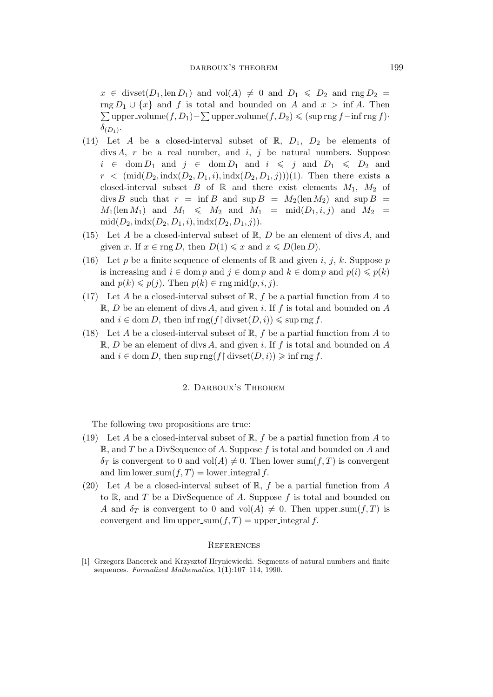$x \in \text{divset}(D_1, \text{len } D_1)$  and  $\text{vol}(A) \neq 0$  and  $D_1 \leqslant D_2$  and  $\text{rng } D_2 =$ rng  $D_1 \cup \{x\}$  and f is total and bounded on A and  $x > \inf A$ . Then  $\sum$ upper\_volume(f, D<sub>1</sub>) –  $\sum$ upper\_volume(f, D<sub>2</sub>)  $\leq$  (sup rng f – inf rng f)*·*  $\delta_{(D_1)}$ .

- (14) Let A be a closed-interval subset of R,  $D_1$ ,  $D_2$  be elements of divs A, r be a real number, and i, j be natural numbers. Suppose  $i \in \text{dom } D_1$  and  $j \in \text{dom } D_1$  and  $i \leq j$  and  $D_1 \leq D_2$  and  $r < (\text{mid}(D_2, \text{ind}_X(D_2, D_1, i), \text{ind}_X(D_2, D_1, i)))(1)$ . Then there exists a closed-interval subset B of  $\mathbb R$  and there exist elements  $M_1$ ,  $M_2$  of divs B such that  $r = \inf B$  and  $\sup B = M_2(\operatorname{len} M_2)$  and  $\sup B =$  $M_1(\text{len }M_1)$  and  $M_1 \leqslant M_2$  and  $M_1 = \text{mid}(D_1,i,j)$  and  $M_2 =$  $mid(D_2, indx(D_2, D_1, i), indx(D_2, D_1, i)).$
- (15) Let A be a closed-interval subset of  $\mathbb{R}, D$  be an element of divs A, and given x. If  $x \in \text{rng } D$ , then  $D(1) \leq x$  and  $x \leq D(\text{len } D)$ .
- (16) Let p be a finite sequence of elements of R and given i, j, k. Suppose p is increasing and  $i \in \text{dom } p$  and  $j \in \text{dom } p$  and  $k \in \text{dom } p$  and  $p(i) \leqslant p(k)$ and  $p(k) \leqslant p(j)$ . Then  $p(k) \in \text{rng }\text{mid}(p, i, j)$ .
- (17) Let A be a closed-interval subset of  $\mathbb{R}$ , f be a partial function from A to  $\mathbb{R}, D$  be an element of divs A, and given i. If f is total and bounded on A and  $i \in \text{dom } D$ , then inf rng(f \ divset( $D, i$ ))  $\leq$  sup rng f.
- (18) Let A be a closed-interval subset of  $\mathbb{R}$ , f be a partial function from A to  $\mathbb{R}, D$  be an element of divs A, and given i. If f is total and bounded on A and  $i \in \text{dom } D$ , then sup rng(f \ divset( $D, i$ ))  $\geqslant$  inf rng f.

### 2. Darboux's Theorem

The following two propositions are true:

- (19) Let A be a closed-interval subset of  $\mathbb{R}$ , f be a partial function from A to  $\mathbb{R}$ , and T be a DivSequence of A. Suppose f is total and bounded on A and  $\delta_T$  is convergent to 0 and vol(A)  $\neq$  0. Then lower sum(f, T) is convergent and  $\lim \text{lower-sum}(f,T) = \text{lower-integral } f$ .
- (20) Let A be a closed-interval subset of  $\mathbb{R}$ , f be a partial function from A to  $\mathbb{R}$ , and T be a DivSequence of A. Suppose f is total and bounded on A and  $\delta_T$  is convergent to 0 and vol(A)  $\neq$  0. Then upper sum(f, T) is convergent and  $\lim_{x \to \infty} f(x, T) = \text{upper-integral } f$ .

#### **REFERENCES**

[1] Grzegorz Bancerek and Krzysztof Hryniewiecki. Segments of natural numbers and finite sequences. *Formalized Mathematics*, 1(**1**):107–114, 1990.